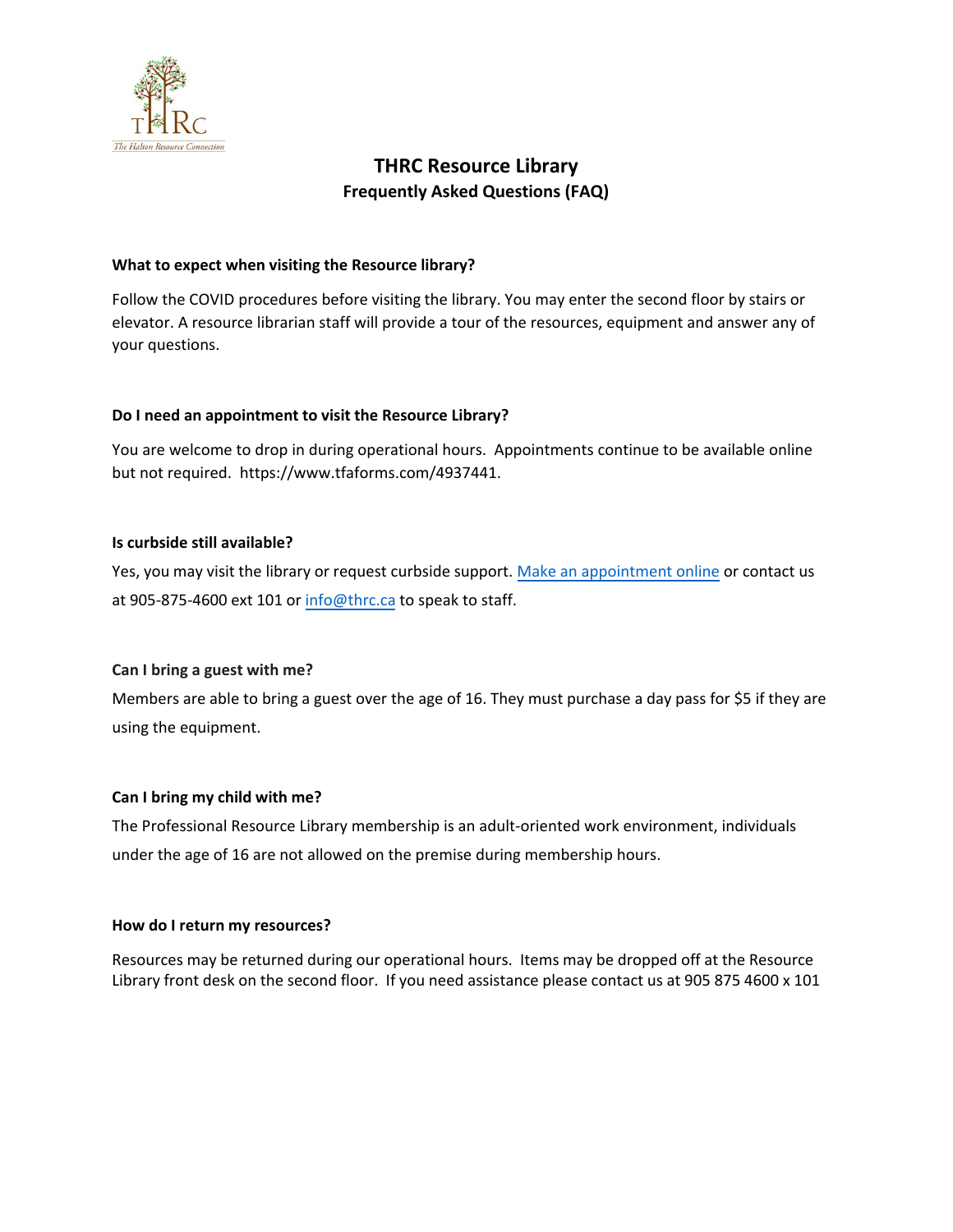

# **THRC Resource Library Frequently Asked Questions (FAQ)**

#### **What to expect when visiting the Resource library?**

Follow the COVID procedures before visiting the library. You may enter the second floor by stairs or elevator. A resource librarian staff will provide a tour of the resources, equipment and answer any of your questions.

# **Do I need an appointment to visit the Resource Library?**

You are welcome to drop in during operational hours. Appointments continue to be available online but not required. <https://www.tfaforms.com/4937441>.

# **Is curbside still available?**

Yes, you may visit the library or request curbside support. [Make an appointment online](https://www.tfaforms.com/4842439) or contact us at 905-875-4600 ext 101 [or info@thrc.c](mailto:info@thrc.ca)a to speak to staff.

#### **Can I bring a guest with me?**

Members are able to bring a guest over the age of 16. They must purchase a day pass for \$5 if they are using the equipment.

#### **Can I bring my child with me?**

The Professional Resource Library membership is an adult-oriented work environment, individuals under the age of 16 are not allowed on the premise during membership hours.

#### **How do I return my resources?**

Resources may be re[turned during our opera](https://www.tfaforms.com/4842439)tional hours. Items may be dropped off at the Resource Library front desk on the second floor. If you need assistance please contact us at 905 875 4600 x 101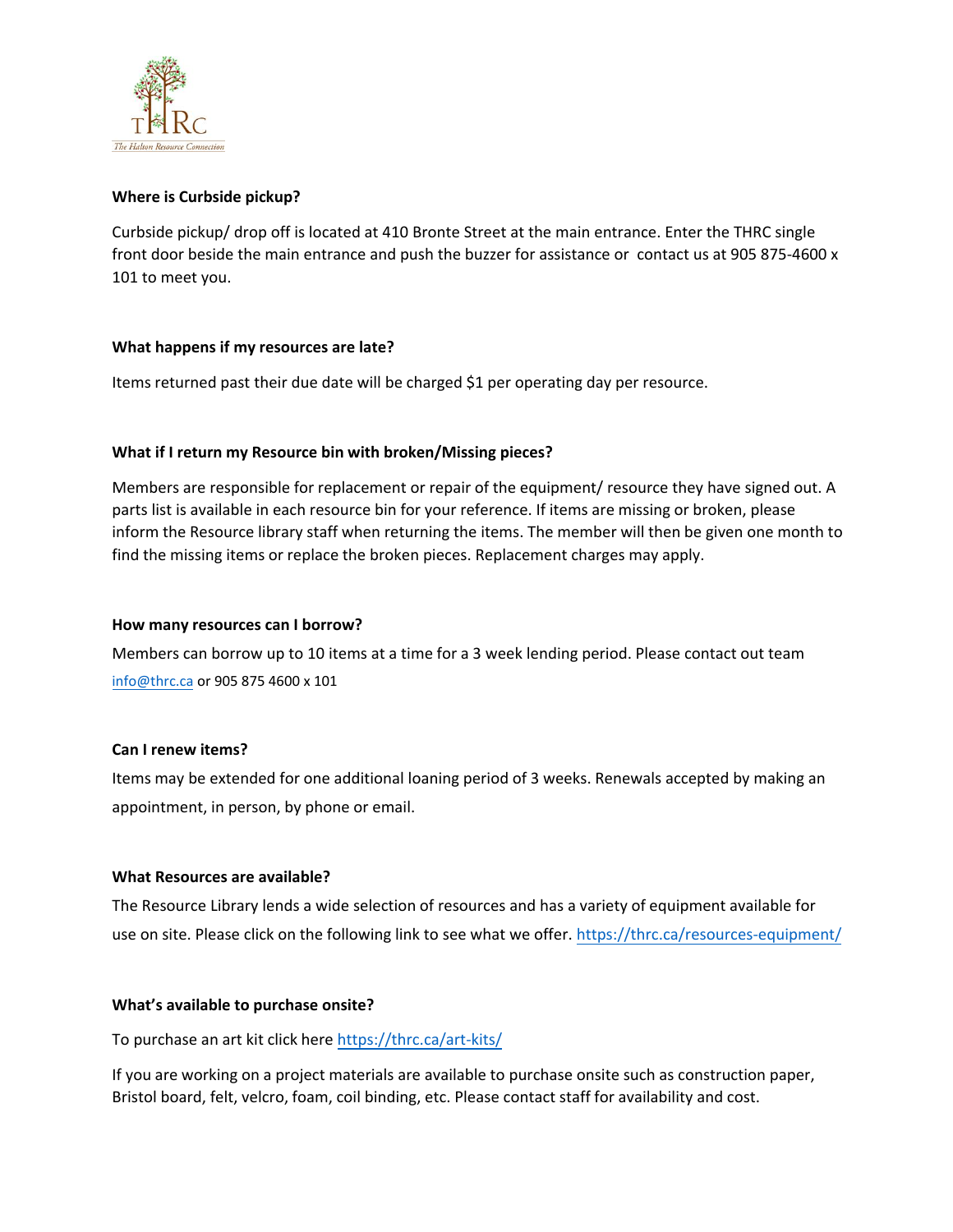

# **Where is Curbside pickup?**

Curbside pickup/ drop off is located at 410 Bronte Street at the main entrance. Enter the THRC single front door beside the main entrance and push the buzzer for assistance or contact us at 905 875-4600 x 101 to meet you.

#### **What happens if my resources are late?**

Items returned past their due date will be charged \$1 per operating day per resource.

# **What if I return my Resource bin with broken/Missing pieces?**

Members are responsible for replacement or repair of the equipment/ resource they have signed out. A parts list is available in each resource bin for your reference. If items are missing or broken, please inform the Resource library staff when returning the items. The member will then be given one month to find the missing items or replace the broken pieces. Replacement charges may apply.

#### **How many resources can I borrow?**

[Members ca](mailto:info@thrc.ca)n borrow up to 10 items at a time for a 3 week lending period. Please contact out team info@thrc.ca or 905 875 4600 x 101

#### **Can I renew items?**

Items may be extended for one additional loaning period of 3 weeks. Renewals accepted by making an appointment, in person, by phone or email.

#### **What Resources are available?**

The Resource Library lends a wide selection of resources and has [a variety of equipment available for](https://thrc.ca/resources-equipment/)  use on site. Please click on the following link to see what we offer. https://thrc.ca/resources-equipment/

#### **What's available to purchase onsite?**

To purchase an art kit click her[e https://thrc.ca/art-kits/](https://thrc.ca/art-kits/)

If you are working on a project materials are available to purchase onsite such as construction paper, Bristol board, felt, velcro, foam, coil binding, etc. Please contact staff for availability and cost.